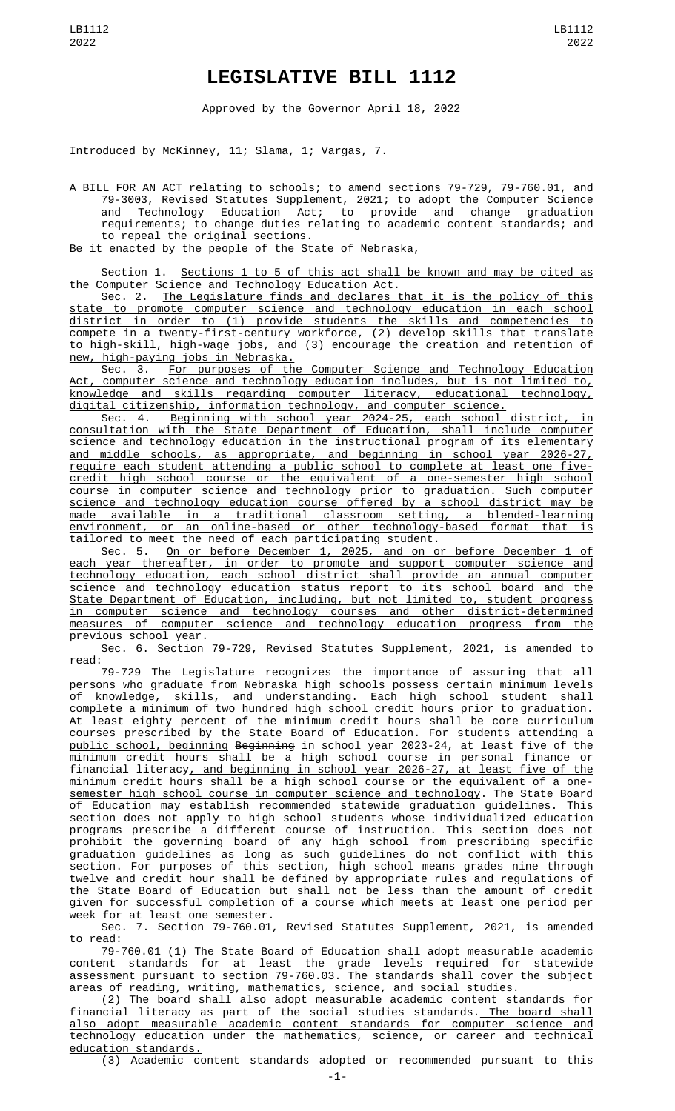## **LEGISLATIVE BILL 1112**

Approved by the Governor April 18, 2022

Introduced by McKinney, 11; Slama, 1; Vargas, 7.

A BILL FOR AN ACT relating to schools; to amend sections 79-729, 79-760.01, and 79-3003, Revised Statutes Supplement, 2021; to adopt the Computer Science and Technology Education Act; to provide and change graduation requirements; to change duties relating to academic content standards; and to repeal the original sections.

Be it enacted by the people of the State of Nebraska,

Section 1. Sections 1 to 5 of this act shall be known and may be cited as the Computer Science and Technology Education Act.

Sec. 2. The Legislature finds and declares that it is the policy of this state to promote computer science and technology education in each school district in order to (1) provide students the skills and competencies to compete in a twenty-first-century workforce, (2) develop skills that translate to high-skill, high-wage jobs, and (3) encourage the creation and retention of new, high-paying jobs in Nebraska.

Sec. 3. For purposes of the Computer Science and Technology Education Act, computer science and technology education includes, but is not limited to, knowledge and skills regarding computer literacy, educational technology, digital citizenship, information technology, and computer science.

Sec. 4. Beginning with school year 2024-25, each school district, in consultation with the State Department of Education, shall include computer science and technology education in the instructional program of its elementary and middle schools, as appropriate, and beginning in school year 2026-27, require each student attending a public school to complete at least one fivecredit high school course or the equivalent of a one-semester high school course in computer science and technology prior to graduation. Such computer science and technology education course offered by a school district may be made available in a traditional classroom setting, a blended-learning environment, or an online-based or other technology-based format that is tailored to meet the need of each participating student.

Sec. 5. On or before December 1, 2025, and on or before December 1 of each year thereafter, in order to promote and support computer science and technology education, each school district shall provide an annual computer science and technology education status report to its school board and the State Department of Education, including, but not limited to, student progress in computer science and technology courses and other district-determined measures of computer science and technology education progress from the previous school year.

Sec. 6. Section 79-729, Revised Statutes Supplement, 2021, is amended to read:

79-729 The Legislature recognizes the importance of assuring that all persons who graduate from Nebraska high schools possess certain minimum levels of knowledge, skills, and understanding. Each high school student shall complete a minimum of two hundred high school credit hours prior to graduation. At least eighty percent of the minimum credit hours shall be core curriculum courses prescribed by the State Board of Education. <u>For students attending a</u> public school, beginning Beginning in school year 2023-24, at least five of the minimum credit hours shall be a high school course in personal finance or financial literacy, and beginning in school year 2026-27, at least five of the minimum credit hours shall be a high school course or the equivalent of a onesemester high school course in computer science and technology. The State Board of Education may establish recommended statewide graduation guidelines. This section does not apply to high school students whose individualized education programs prescribe a different course of instruction. This section does not prohibit the governing board of any high school from prescribing specific graduation guidelines as long as such guidelines do not conflict with this section. For purposes of this section, high school means grades nine through twelve and credit hour shall be defined by appropriate rules and regulations of the State Board of Education but shall not be less than the amount of credit given for successful completion of a course which meets at least one period per week for at least one semester.

Sec. 7. Section 79-760.01, Revised Statutes Supplement, 2021, is amended to read:

79-760.01 (1) The State Board of Education shall adopt measurable academic content standards for at least the grade levels required for statewide assessment pursuant to section 79-760.03. The standards shall cover the subject areas of reading, writing, mathematics, science, and social studies.

(2) The board shall also adopt measurable academic content standards for financial literacy as part of the social studies standards.<u> The board shall</u> also adopt measurable academic content standards for computer science and technology education under the mathematics, science, or career and technical education standards.

(3) Academic content standards adopted or recommended pursuant to this